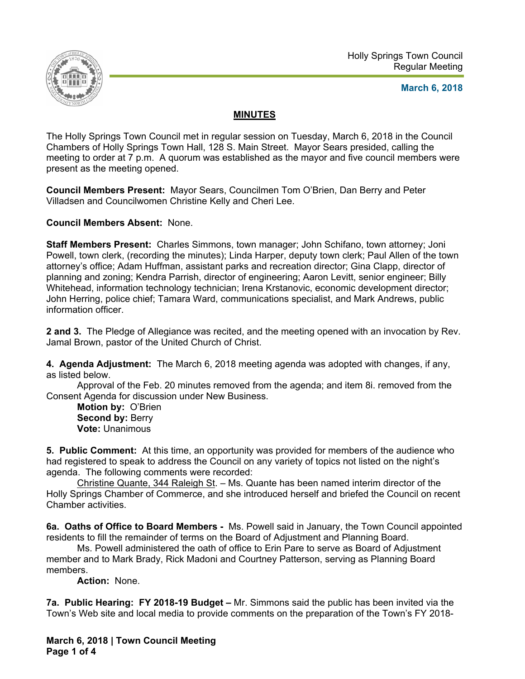

## **March 6, 2018**

## **MINUTES**

The Holly Springs Town Council met in regular session on Tuesday, March 6, 2018 in the Council Chambers of Holly Springs Town Hall, 128 S. Main Street. Mayor Sears presided, calling the meeting to order at 7 p.m. A quorum was established as the mayor and five council members were present as the meeting opened.

**Council Members Present:** Mayor Sears, Councilmen Tom O'Brien, Dan Berry and Peter Villadsen and Councilwomen Christine Kelly and Cheri Lee.

**Council Members Absent:** None.

**Staff Members Present:** Charles Simmons, town manager; John Schifano, town attorney; Joni Powell, town clerk, (recording the minutes); Linda Harper, deputy town clerk; Paul Allen of the town attorney's office; Adam Huffman, assistant parks and recreation director; Gina Clapp, director of planning and zoning; Kendra Parrish, director of engineering; Aaron Levitt, senior engineer; Billy Whitehead, information technology technician; Irena Krstanovic, economic development director; John Herring, police chief; Tamara Ward, communications specialist, and Mark Andrews, public information officer.

**2 and 3.** The Pledge of Allegiance was recited, and the meeting opened with an invocation by Rev. Jamal Brown, pastor of the United Church of Christ.

**4. Agenda Adjustment:** The March 6, 2018 meeting agenda was adopted with changes, if any, as listed below.

 Approval of the Feb. 20 minutes removed from the agenda; and item 8i. removed from the Consent Agenda for discussion under New Business.

**Motion by:** O'Brien **Second by: Berry Vote:** Unanimous

**5. Public Comment:** At this time, an opportunity was provided for members of the audience who had registered to speak to address the Council on any variety of topics not listed on the night's agenda. The following comments were recorded:

 Christine Quante, 344 Raleigh St. – Ms. Quante has been named interim director of the Holly Springs Chamber of Commerce, and she introduced herself and briefed the Council on recent Chamber activities.

**6a. Oaths of Office to Board Members -** Ms. Powell said in January, the Town Council appointed residents to fill the remainder of terms on the Board of Adjustment and Planning Board.

Ms. Powell administered the oath of office to Erin Pare to serve as Board of Adjustment member and to Mark Brady, Rick Madoni and Courtney Patterson, serving as Planning Board members.

 **Action:** None.

**7a. Public Hearing: FY 2018-19 Budget –** Mr. Simmons said the public has been invited via the Town's Web site and local media to provide comments on the preparation of the Town's FY 2018-

**March 6, 2018 | Town Council Meeting Page 1 of 4**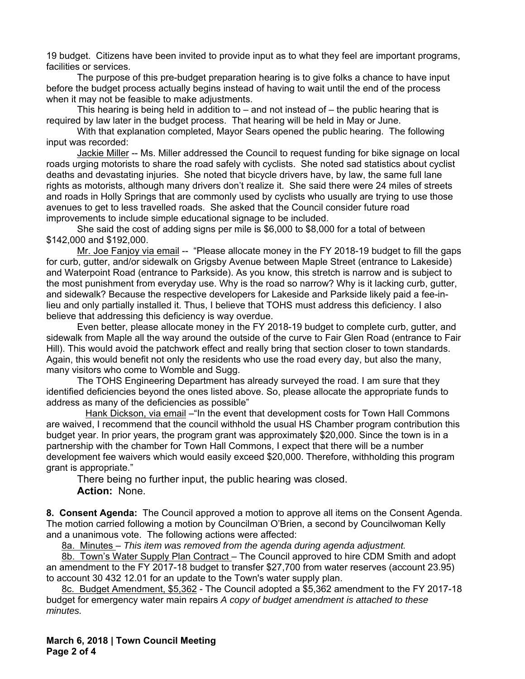19 budget. Citizens have been invited to provide input as to what they feel are important programs, facilities or services.

 The purpose of this pre-budget preparation hearing is to give folks a chance to have input before the budget process actually begins instead of having to wait until the end of the process when it may not be feasible to make adjustments.

This hearing is being held in addition to  $-$  and not instead of  $-$  the public hearing that is required by law later in the budget process. That hearing will be held in May or June.

With that explanation completed, Mayor Sears opened the public hearing. The following input was recorded:

Jackie Miller -- Ms. Miller addressed the Council to request funding for bike signage on local roads urging motorists to share the road safely with cyclists. She noted sad statistics about cyclist deaths and devastating injuries. She noted that bicycle drivers have, by law, the same full lane rights as motorists, although many drivers don't realize it. She said there were 24 miles of streets and roads in Holly Springs that are commonly used by cyclists who usually are trying to use those avenues to get to less travelled roads. She asked that the Council consider future road improvements to include simple educational signage to be included.

She said the cost of adding signs per mile is \$6,000 to \$8,000 for a total of between \$142,000 and \$192,000.

 Mr. Joe Fanjoy via email -- "Please allocate money in the FY 2018-19 budget to fill the gaps for curb, gutter, and/or sidewalk on Grigsby Avenue between Maple Street (entrance to Lakeside) and Waterpoint Road (entrance to Parkside). As you know, this stretch is narrow and is subject to the most punishment from everyday use. Why is the road so narrow? Why is it lacking curb, gutter, and sidewalk? Because the respective developers for Lakeside and Parkside likely paid a fee-inlieu and only partially installed it. Thus, I believe that TOHS must address this deficiency. I also believe that addressing this deficiency is way overdue.

 Even better, please allocate money in the FY 2018-19 budget to complete curb, gutter, and sidewalk from Maple all the way around the outside of the curve to Fair Glen Road (entrance to Fair Hill). This would avoid the patchwork effect and really bring that section closer to town standards. Again, this would benefit not only the residents who use the road every day, but also the many, many visitors who come to Womble and Sugg.

 The TOHS Engineering Department has already surveyed the road. I am sure that they identified deficiencies beyond the ones listed above. So, please allocate the appropriate funds to address as many of the deficiencies as possible"

 Hank Dickson, via email –"In the event that development costs for Town Hall Commons are waived, I recommend that the council withhold the usual HS Chamber program contribution this budget year. In prior years, the program grant was approximately \$20,000. Since the town is in a partnership with the chamber for Town Hall Commons, I expect that there will be a number development fee waivers which would easily exceed \$20,000. Therefore, withholding this program grant is appropriate."

There being no further input, the public hearing was closed. **Action:** None.

**8. Consent Agenda:** The Council approved a motion to approve all items on the Consent Agenda. The motion carried following a motion by Councilman O'Brien, a second by Councilwoman Kelly and a unanimous vote. The following actions were affected:

8a. Minutes – *This item was removed from the agenda during agenda adjustment.*

8b. Town's Water Supply Plan Contract - The Council approved to hire CDM Smith and adopt an amendment to the FY 2017-18 budget to transfer \$27,700 from water reserves (account 23.95) to account 30 432 12.01 for an update to the Town's water supply plan.

8c. Budget Amendment, \$5,362 - The Council adopted a \$5,362 amendment to the FY 2017-18 budget for emergency water main repairs *A copy of budget amendment is attached to these minutes.*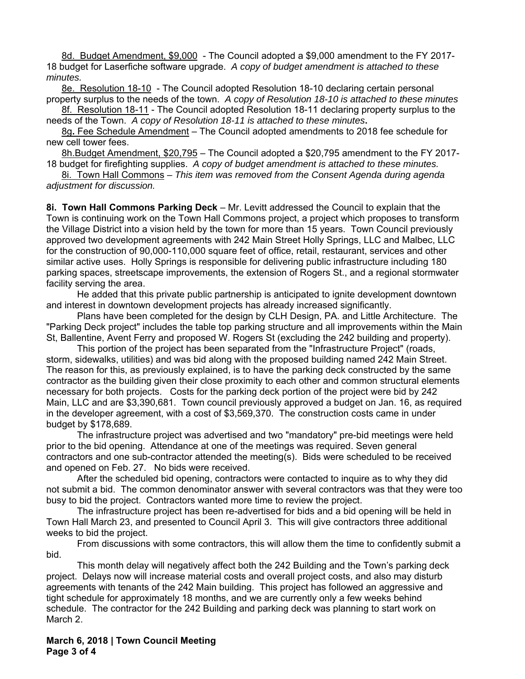8d. Budget Amendment, \$9,000 - The Council adopted a \$9,000 amendment to the FY 2017- 18 budget for Laserfiche software upgrade. *A copy of budget amendment is attached to these minutes.* 

8e. Resolution 18-10 - The Council adopted Resolution 18-10 declaring certain personal property surplus to the needs of the town. *A copy of Resolution 18-10 is attached to these minutes* 

8f. Resolution 18-11 - The Council adopted Resolution 18-11 declaring property surplus to the needs of the Town.*A copy of Resolution 18-11 is attached to these minutes***.** 

8g**.** Fee Schedule Amendment – The Council adopted amendments to 2018 fee schedule for new cell tower fees.

8h.Budget Amendment, \$20,795 – The Council adopted a \$20,795 amendment to the FY 2017- 18 budget for firefighting supplies. *A copy of budget amendment is attached to these minutes.* 

8i. Town Hall Commons *– This item was removed from the Consent Agenda during agenda adjustment for discussion.* 

**8i. Town Hall Commons Parking Deck** – Mr. Levitt addressed the Council to explain that the Town is continuing work on the Town Hall Commons project, a project which proposes to transform the Village District into a vision held by the town for more than 15 years. Town Council previously approved two development agreements with 242 Main Street Holly Springs, LLC and Malbec, LLC for the construction of 90,000-110,000 square feet of office, retail, restaurant, services and other similar active uses. Holly Springs is responsible for delivering public infrastructure including 180 parking spaces, streetscape improvements, the extension of Rogers St., and a regional stormwater facility serving the area.

 He added that this private public partnership is anticipated to ignite development downtown and interest in downtown development projects has already increased significantly.

 Plans have been completed for the design by CLH Design, PA. and Little Architecture. The "Parking Deck project" includes the table top parking structure and all improvements within the Main St, Ballentine, Avent Ferry and proposed W. Rogers St (excluding the 242 building and property).

 This portion of the project has been separated from the "Infrastructure Project" (roads, storm, sidewalks, utilities) and was bid along with the proposed building named 242 Main Street. The reason for this, as previously explained, is to have the parking deck constructed by the same contractor as the building given their close proximity to each other and common structural elements necessary for both projects. Costs for the parking deck portion of the project were bid by 242 Main, LLC and are \$3,390,681. Town council previously approved a budget on Jan. 16, as required in the developer agreement, with a cost of \$3,569,370. The construction costs came in under budget by \$178,689.

 The infrastructure project was advertised and two "mandatory" pre-bid meetings were held prior to the bid opening. Attendance at one of the meetings was required. Seven general contractors and one sub-contractor attended the meeting(s). Bids were scheduled to be received and opened on Feb. 27. No bids were received.

 After the scheduled bid opening, contractors were contacted to inquire as to why they did not submit a bid. The common denominator answer with several contractors was that they were too busy to bid the project. Contractors wanted more time to review the project.

 The infrastructure project has been re-advertised for bids and a bid opening will be held in Town Hall March 23, and presented to Council April 3. This will give contractors three additional weeks to bid the project.

 From discussions with some contractors, this will allow them the time to confidently submit a bid.

 This month delay will negatively affect both the 242 Building and the Town's parking deck project. Delays now will increase material costs and overall project costs, and also may disturb agreements with tenants of the 242 Main building. This project has followed an aggressive and tight schedule for approximately 18 months, and we are currently only a few weeks behind schedule. The contractor for the 242 Building and parking deck was planning to start work on March 2.

**March 6, 2018 | Town Council Meeting Page 3 of 4**